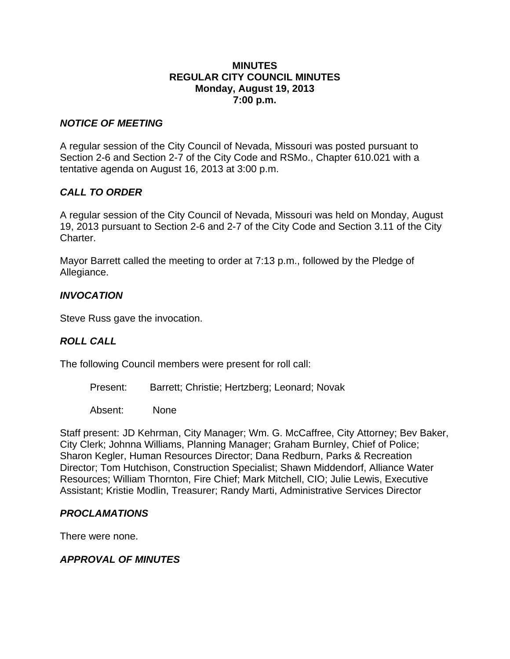#### **MINUTES REGULAR CITY COUNCIL MINUTES Monday, August 19, 2013 7:00 p.m.**

### *NOTICE OF MEETING*

A regular session of the City Council of Nevada, Missouri was posted pursuant to Section 2-6 and Section 2-7 of the City Code and RSMo., Chapter 610.021 with a tentative agenda on August 16, 2013 at 3:00 p.m.

# *CALL TO ORDER*

A regular session of the City Council of Nevada, Missouri was held on Monday, August 19, 2013 pursuant to Section 2-6 and 2-7 of the City Code and Section 3.11 of the City Charter.

Mayor Barrett called the meeting to order at 7:13 p.m., followed by the Pledge of Allegiance.

# *INVOCATION*

Steve Russ gave the invocation.

# *ROLL CALL*

The following Council members were present for roll call:

Present: Barrett; Christie; Hertzberg; Leonard; Novak

Absent: None

Staff present: JD Kehrman, City Manager; Wm. G. McCaffree, City Attorney; Bev Baker, City Clerk; Johnna Williams, Planning Manager; Graham Burnley, Chief of Police; Sharon Kegler, Human Resources Director; Dana Redburn, Parks & Recreation Director; Tom Hutchison, Construction Specialist; Shawn Middendorf, Alliance Water Resources; William Thornton, Fire Chief; Mark Mitchell, CIO; Julie Lewis, Executive Assistant; Kristie Modlin, Treasurer; Randy Marti, Administrative Services Director

# *PROCLAMATIONS*

There were none.

# *APPROVAL OF MINUTES*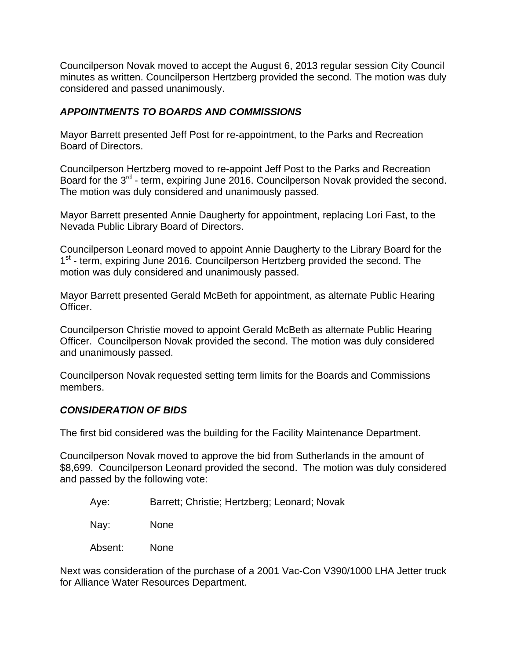Councilperson Novak moved to accept the August 6, 2013 regular session City Council minutes as written. Councilperson Hertzberg provided the second. The motion was duly considered and passed unanimously.

# *APPOINTMENTS TO BOARDS AND COMMISSIONS*

Mayor Barrett presented Jeff Post for re-appointment, to the Parks and Recreation Board of Directors.

Councilperson Hertzberg moved to re-appoint Jeff Post to the Parks and Recreation Board for the 3<sup>rd</sup> - term, expiring June 2016. Councilperson Novak provided the second. The motion was duly considered and unanimously passed.

Mayor Barrett presented Annie Daugherty for appointment, replacing Lori Fast, to the Nevada Public Library Board of Directors.

Councilperson Leonard moved to appoint Annie Daugherty to the Library Board for the 1<sup>st</sup> - term, expiring June 2016. Councilperson Hertzberg provided the second. The motion was duly considered and unanimously passed.

Mayor Barrett presented Gerald McBeth for appointment, as alternate Public Hearing Officer.

Councilperson Christie moved to appoint Gerald McBeth as alternate Public Hearing Officer. Councilperson Novak provided the second. The motion was duly considered and unanimously passed.

Councilperson Novak requested setting term limits for the Boards and Commissions members.

#### *CONSIDERATION OF BIDS*

The first bid considered was the building for the Facility Maintenance Department.

Councilperson Novak moved to approve the bid from Sutherlands in the amount of \$8,699. Councilperson Leonard provided the second. The motion was duly considered and passed by the following vote:

- Aye: Barrett; Christie; Hertzberg; Leonard; Novak
- Nay: None
- Absent: None

Next was consideration of the purchase of a 2001 Vac-Con V390/1000 LHA Jetter truck for Alliance Water Resources Department.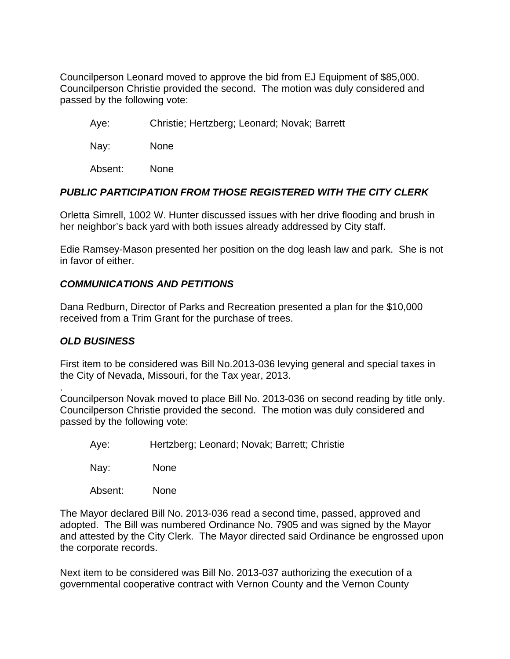Councilperson Leonard moved to approve the bid from EJ Equipment of \$85,000. Councilperson Christie provided the second. The motion was duly considered and passed by the following vote:

Aye: Christie; Hertzberg; Leonard; Novak; Barrett

Nay: None

Absent: None

## *PUBLIC PARTICIPATION FROM THOSE REGISTERED WITH THE CITY CLERK*

Orletta Simrell, 1002 W. Hunter discussed issues with her drive flooding and brush in her neighbor's back yard with both issues already addressed by City staff.

Edie Ramsey-Mason presented her position on the dog leash law and park. She is not in favor of either.

## *COMMUNICATIONS AND PETITIONS*

Dana Redburn, Director of Parks and Recreation presented a plan for the \$10,000 received from a Trim Grant for the purchase of trees.

#### *OLD BUSINESS*

First item to be considered was Bill No.2013-036 levying general and special taxes in the City of Nevada, Missouri, for the Tax year, 2013.

. Councilperson Novak moved to place Bill No. 2013-036 on second reading by title only. Councilperson Christie provided the second. The motion was duly considered and passed by the following vote:

Aye: Hertzberg; Leonard; Novak; Barrett; Christie

Nay: None

Absent: None

The Mayor declared Bill No. 2013-036 read a second time, passed, approved and adopted. The Bill was numbered Ordinance No. 7905 and was signed by the Mayor and attested by the City Clerk. The Mayor directed said Ordinance be engrossed upon the corporate records.

Next item to be considered was Bill No. 2013-037 authorizing the execution of a governmental cooperative contract with Vernon County and the Vernon County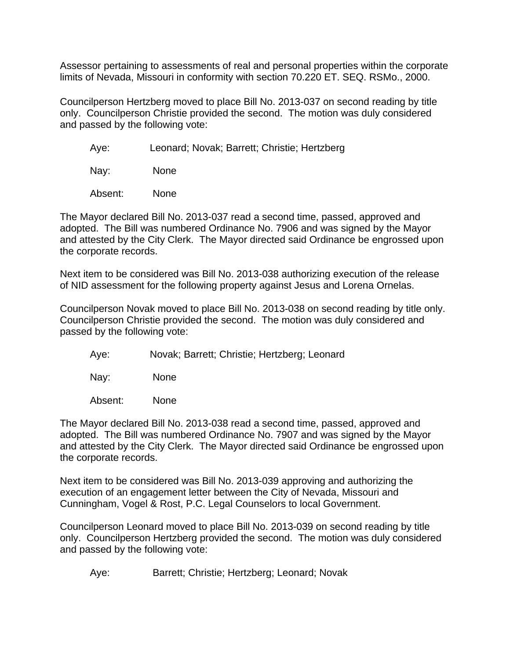Assessor pertaining to assessments of real and personal properties within the corporate limits of Nevada, Missouri in conformity with section 70.220 ET. SEQ. RSMo., 2000.

Councilperson Hertzberg moved to place Bill No. 2013-037 on second reading by title only. Councilperson Christie provided the second. The motion was duly considered and passed by the following vote:

Aye: Leonard; Novak; Barrett; Christie; Hertzberg

Nay: None

Absent: None

The Mayor declared Bill No. 2013-037 read a second time, passed, approved and adopted. The Bill was numbered Ordinance No. 7906 and was signed by the Mayor and attested by the City Clerk. The Mayor directed said Ordinance be engrossed upon the corporate records.

Next item to be considered was Bill No. 2013-038 authorizing execution of the release of NID assessment for the following property against Jesus and Lorena Ornelas.

Councilperson Novak moved to place Bill No. 2013-038 on second reading by title only. Councilperson Christie provided the second. The motion was duly considered and passed by the following vote:

Aye: Novak; Barrett; Christie; Hertzberg; Leonard

Nay: None

Absent: None

The Mayor declared Bill No. 2013-038 read a second time, passed, approved and adopted. The Bill was numbered Ordinance No. 7907 and was signed by the Mayor and attested by the City Clerk. The Mayor directed said Ordinance be engrossed upon the corporate records.

Next item to be considered was Bill No. 2013-039 approving and authorizing the execution of an engagement letter between the City of Nevada, Missouri and Cunningham, Vogel & Rost, P.C. Legal Counselors to local Government.

Councilperson Leonard moved to place Bill No. 2013-039 on second reading by title only. Councilperson Hertzberg provided the second. The motion was duly considered and passed by the following vote:

Aye: Barrett; Christie; Hertzberg; Leonard; Novak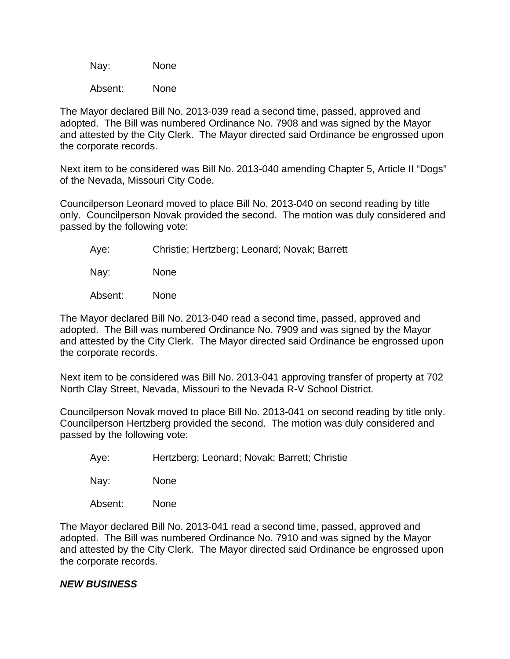Nay: None

Absent: None

The Mayor declared Bill No. 2013-039 read a second time, passed, approved and adopted. The Bill was numbered Ordinance No. 7908 and was signed by the Mayor and attested by the City Clerk. The Mayor directed said Ordinance be engrossed upon the corporate records.

Next item to be considered was Bill No. 2013-040 amending Chapter 5, Article II "Dogs" of the Nevada, Missouri City Code.

Councilperson Leonard moved to place Bill No. 2013-040 on second reading by title only. Councilperson Novak provided the second. The motion was duly considered and passed by the following vote:

Aye: Christie; Hertzberg; Leonard; Novak; Barrett

Nay: None

Absent: None

The Mayor declared Bill No. 2013-040 read a second time, passed, approved and adopted. The Bill was numbered Ordinance No. 7909 and was signed by the Mayor and attested by the City Clerk. The Mayor directed said Ordinance be engrossed upon the corporate records.

Next item to be considered was Bill No. 2013-041 approving transfer of property at 702 North Clay Street, Nevada, Missouri to the Nevada R-V School District.

Councilperson Novak moved to place Bill No. 2013-041 on second reading by title only. Councilperson Hertzberg provided the second. The motion was duly considered and passed by the following vote:

Aye: Hertzberg; Leonard; Novak; Barrett; Christie

Nay: None

Absent: None

The Mayor declared Bill No. 2013-041 read a second time, passed, approved and adopted. The Bill was numbered Ordinance No. 7910 and was signed by the Mayor and attested by the City Clerk. The Mayor directed said Ordinance be engrossed upon the corporate records.

#### *NEW BUSINESS*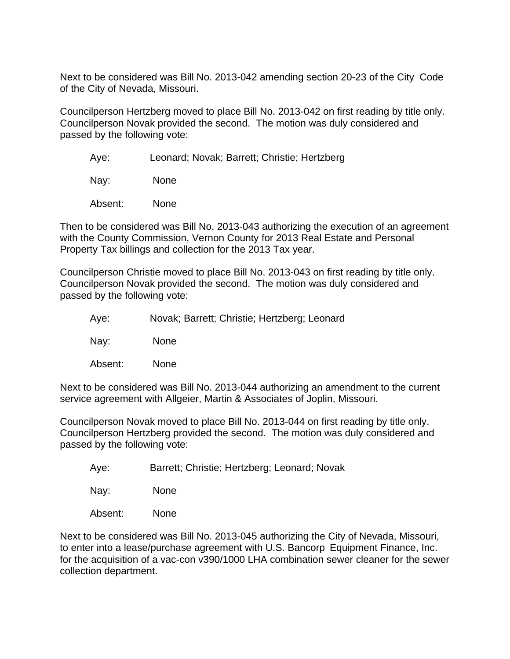Next to be considered was Bill No. 2013-042 amending section 20-23 of the City Code of the City of Nevada, Missouri.

Councilperson Hertzberg moved to place Bill No. 2013-042 on first reading by title only. Councilperson Novak provided the second. The motion was duly considered and passed by the following vote:

Aye: Leonard; Novak; Barrett; Christie; Hertzberg

Nay: None

Absent: None

Then to be considered was Bill No. 2013-043 authorizing the execution of an agreement with the County Commission, Vernon County for 2013 Real Estate and Personal Property Tax billings and collection for the 2013 Tax year.

Councilperson Christie moved to place Bill No. 2013-043 on first reading by title only. Councilperson Novak provided the second. The motion was duly considered and passed by the following vote:

Aye: Novak; Barrett; Christie; Hertzberg; Leonard

Nay: None

Absent: None

Next to be considered was Bill No. 2013-044 authorizing an amendment to the current service agreement with Allgeier, Martin & Associates of Joplin, Missouri.

Councilperson Novak moved to place Bill No. 2013-044 on first reading by title only. Councilperson Hertzberg provided the second. The motion was duly considered and passed by the following vote:

Aye: Barrett; Christie; Hertzberg; Leonard; Novak

Nay: None

Absent: None

Next to be considered was Bill No. 2013-045 authorizing the City of Nevada, Missouri, to enter into a lease/purchase agreement with U.S. Bancorp Equipment Finance, Inc. for the acquisition of a vac-con v390/1000 LHA combination sewer cleaner for the sewer collection department.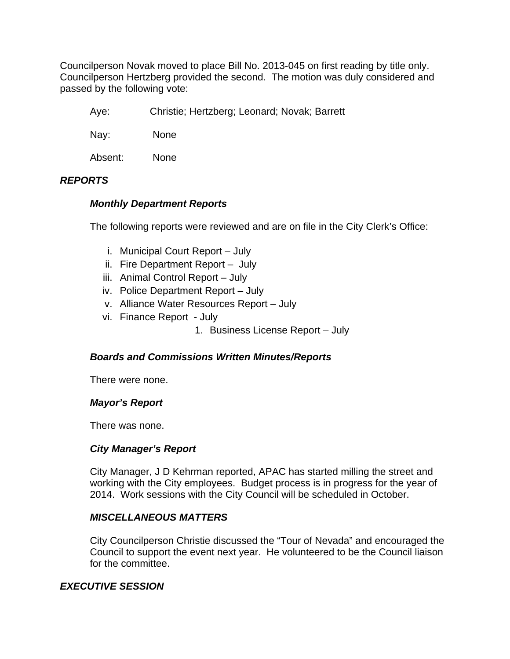Councilperson Novak moved to place Bill No. 2013-045 on first reading by title only. Councilperson Hertzberg provided the second. The motion was duly considered and passed by the following vote:

Aye: Christie; Hertzberg; Leonard; Novak; Barrett

Nay: None

Absent: None

# *REPORTS*

# *Monthly Department Reports*

The following reports were reviewed and are on file in the City Clerk's Office:

- i. Municipal Court Report July
- ii. Fire Department Report July
- iii. Animal Control Report July
- iv. Police Department Report July
- v. Alliance Water Resources Report July
- vi. Finance Report July
	- 1. Business License Report July

#### *Boards and Commissions Written Minutes/Reports*

There were none.

#### *Mayor's Report*

There was none.

#### *City Manager's Report*

City Manager, J D Kehrman reported, APAC has started milling the street and working with the City employees. Budget process is in progress for the year of 2014. Work sessions with the City Council will be scheduled in October.

#### *MISCELLANEOUS MATTERS*

City Councilperson Christie discussed the "Tour of Nevada" and encouraged the Council to support the event next year. He volunteered to be the Council liaison for the committee.

### *EXECUTIVE SESSION*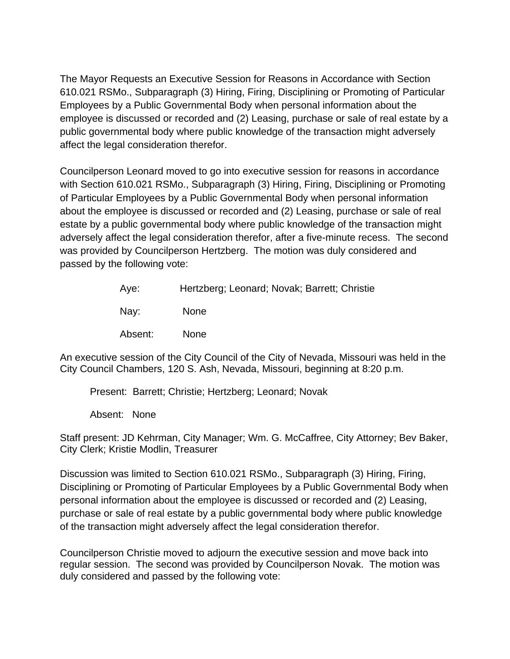The Mayor Requests an Executive Session for Reasons in Accordance with Section 610.021 RSMo., Subparagraph (3) Hiring, Firing, Disciplining or Promoting of Particular Employees by a Public Governmental Body when personal information about the employee is discussed or recorded and (2) Leasing, purchase or sale of real estate by a public governmental body where public knowledge of the transaction might adversely affect the legal consideration therefor.

Councilperson Leonard moved to go into executive session for reasons in accordance with Section 610.021 RSMo., Subparagraph (3) Hiring, Firing, Disciplining or Promoting of Particular Employees by a Public Governmental Body when personal information about the employee is discussed or recorded and (2) Leasing, purchase or sale of real estate by a public governmental body where public knowledge of the transaction might adversely affect the legal consideration therefor, after a five-minute recess. The second was provided by Councilperson Hertzberg. The motion was duly considered and passed by the following vote:

| Aye:    | Hertzberg; Leonard; Novak; Barrett; Christie |
|---------|----------------------------------------------|
| Nay:    | <b>None</b>                                  |
| Absent: | <b>None</b>                                  |

An executive session of the City Council of the City of Nevada, Missouri was held in the City Council Chambers, 120 S. Ash, Nevada, Missouri, beginning at 8:20 p.m.

Present: Barrett; Christie; Hertzberg; Leonard; Novak

Absent: None

Staff present: JD Kehrman, City Manager; Wm. G. McCaffree, City Attorney; Bev Baker, City Clerk; Kristie Modlin, Treasurer

Discussion was limited to Section 610.021 RSMo., Subparagraph (3) Hiring, Firing, Disciplining or Promoting of Particular Employees by a Public Governmental Body when personal information about the employee is discussed or recorded and (2) Leasing, purchase or sale of real estate by a public governmental body where public knowledge of the transaction might adversely affect the legal consideration therefor.

Councilperson Christie moved to adjourn the executive session and move back into regular session. The second was provided by Councilperson Novak. The motion was duly considered and passed by the following vote: